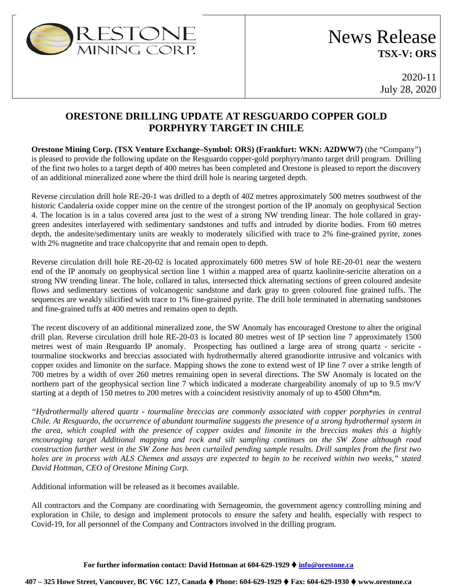

# News Release **TSX-V: ORS**

2020-11 July 28, 2020

## **ORESTONE DRILLING UPDATE AT RESGUARDO COPPER GOLD PORPHYRY TARGET IN CHILE**

**Orestone Mining Corp. (TSX Venture Exchange–Symbol: ORS) (Frankfurt: WKN: A2DWW7)** (the "Company") is pleased to provide the following update on the Resguardo copper-gold porphyry/manto target drill program. Drilling of the first two holes to a target depth of 400 metres has been completed and Orestone is pleased to report the discovery of an additional mineralized zone where the third drill hole is nearing targeted depth.

Reverse circulation drill hole RE-20-1 was drilled to a depth of 402 metres approximately 500 metres southwest of the historic Candaleria oxide copper mine on the centre of the strongest portion of the IP anomaly on geophysical Section 4. The location is in a talus covered area just to the west of a strong NW trending linear. The hole collared in graygreen andesites interlayered with sedimentary sandstones and tuffs and intruded by diorite bodies. From 60 metres depth, the andesite/sedimentary units are weakly to moderately silicified with trace to 2% fine-grained pyrite, zones with 2% magnetite and trace chalcopyrite that and remain open to depth.

Reverse circulation drill hole RE-20-02 is located approximately 600 metres SW of hole RE-20-01 near the western end of the IP anomaly on geophysical section line 1 within a mapped area of quartz kaolinite-sericite alteration on a strong NW trending linear. The hole, collared in talus, intersected thick alternating sections of green coloured andesite flows and sedimentary sections of volcanogenic sandstone and dark gray to green coloured fine grained tuffs. The sequences are weakly silicified with trace to 1% fine-grained pyrite. The drill hole terminated in alternating sandstones and fine-grained tuffs at 400 metres and remains open to depth.

The recent discovery of an additional mineralized zone, the SW Anomaly has encouraged Orestone to alter the original drill plan. Reverse circulation drill hole RE-20-03 is located 80 metres west of IP section line 7 approximately 1500 metres west of main Resguardo IP anomaly. Prospecting has outlined a large area of strong quartz - sericite tourmaline stockworks and breccias associated with hydrothermally altered granodiorite intrusive and volcanics with copper oxides and limonite on the surface. Mapping shows the zone to extend west of IP line 7 over a strike length of 700 metres by a width of over 260 metres remaining open in several directions. The SW Anomaly is located on the northern part of the geophysical section line 7 which indicated a moderate chargeability anomaly of up to 9.5 mv/V starting at a depth of 150 metres to 200 metres with a coincident resistivity anomaly of up to 4500 Ohm\*m.

*"Hydrothermally altered quartz - tourmaline breccias are commonly associated with copper porphyries in central Chile. At Resguardo, the occurrence of abundant tourmaline suggests the presence of a strong hydrothermal system in the area, which coupled with the presence of copper oxides and limonite in the breccias makes this a highly encouraging target Additional mapping and rock and silt sampling continues on the SW Zone although road construction further west in the SW Zone has been curtailed pending sample results. Drill samples from the first two holes are in process with ALS Chemex and assays are expected to begin to be received within two weeks," stated David Hottman, CEO of Orestone Mining Corp.*

Additional information will be released as it becomes available.

All contractors and the Company are coordinating with Sernageomin, the government agency controlling mining and exploration in Chile, to design and implement protocols to ensure the safety and health, especially with respect to Covid-19, for all personnel of the Company and Contractors involved in the drilling program.